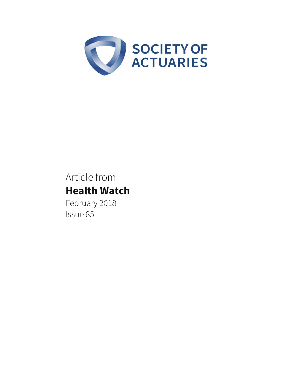

# Article from **Health Watch**

February 2018 Issue 85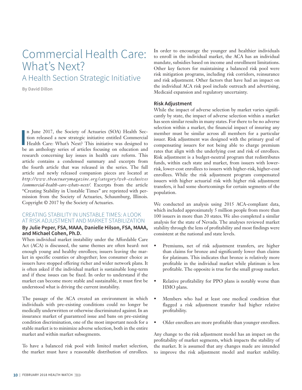## Commercial Health Care: What's Next? A Health Section Strategic Initiative

**By David Dillon**

**I**<br>be n June 2017, the Society of Actuaries (SOA) Health Section released a new strategic initiative entitled Commercial Health Care: What's Next? This initiative was designed to be an anthology series of articles focusing on education and research concerning key issues in health care reform. This article contains a condensed summary and excerpts from the fourth article that was released in the series. The full article and newly released companion pieces are located at *http://www.theactuarymagazine.org/category /web -exclusives /commercial-health-care-whats-next/.* Excerpts from the article "Creating Stability in Unstable Times" are reprinted with permission from the Society of Actuaries, Schaumburg, Illinois. Copyright © 2017 by the Society of Actuaries.

### CREATING STABILITY IN UNSTABLE TIMES: A LOOK AT RISK ADJUSTMENT AND MARKET STABILIZATION

#### **By Julie Peper, FSA, MAAA, Danielle Hilson, FSA, MAAA, and Michael Cohen, Ph.D.**

When individual market instability under the Affordable Care Act (ACA) is discussed, the same themes are often heard: not enough young and healthy enrollees; issuers leaving the market in specific counties or altogether; less consumer choice as issuers have stopped offering richer and wider network plans. It is often asked if the individual market is sustainable long-term and if these issues can be fixed. In order to understand if the market can become more stable and sustainable, it must first be understood what is driving the current instability.

The passage of the ACA created an environment in which individuals with pre-existing conditions could no longer be medically underwritten or otherwise discriminated against. In an insurance market of guaranteed issue and bans on pre-existing condition discrimination, one of the most important needs for a stable market is to minimize adverse selection, both in the entire market and within market subsegments.

To have a balanced risk pool with limited market selection, the market must have a reasonable distribution of enrollees. In order to encourage the younger and healthier individuals to enroll in the individual market, the ACA has an individual mandate, subsidies based on income and enrollment limitations. Other key factors for maintaining a balanced risk pool were risk mitigation programs, including risk corridors, reinsurance and risk adjustment. Other factors that have had an impact on the individual ACA risk pool include outreach and advertising, Medicaid expansion and regulatory uncertainty.

#### **Risk Adjustment**

While the impact of adverse selection by market varies significantly by state, the impact of adverse selection within a market has seen similar results in many states. For there to be no adverse selection within a market, the financial impact of insuring any member must be similar across all members for a particular issuer. Risk adjustment was designed with the primary goal of compensating issuers for not being able to charge premium rates that align with the underlying cost and risk of enrollees. Risk adjustment is a budget-neutral program that redistributes funds, within each state and market, from issuers with lowerrisk, lower-cost enrollees to issuers with higher-risk, higher-cost enrollees. While the risk adjustment program compensated issuers with higher actuarial risk with higher risk adjustment transfers, it had some shortcomings for certain segments of the population.

We conducted an analysis using 2015 ACA-compliant data, which included approximately 5 million people from more than 100 issuers in more than 20 states. We also completed a similar analysis for the state of Nevada. The analyses reviewed market stability through the lens of profitability and most findings were consistent at the national and state levels.

- Premiums, net of risk adjustment transfers, are higher than claims for bronze and significantly lower than claims for platinum. This indicates that bronze is relatively more profitable in the individual market while platinum is less profitable. The opposite is true for the small group market.
- Relative profitability for PPO plans is notably worse than HMO plans.
- Members who had at least one medical condition that flagged a risk adjustment transfer had higher relative profitability.
- Older enrollees are more profitable than younger enrollees.

Any change to the risk adjustment model has an impact on the profitability of market segments, which impacts the stability of the market. It is assumed that any changes made are intended to improve the risk adjustment model and market stability.